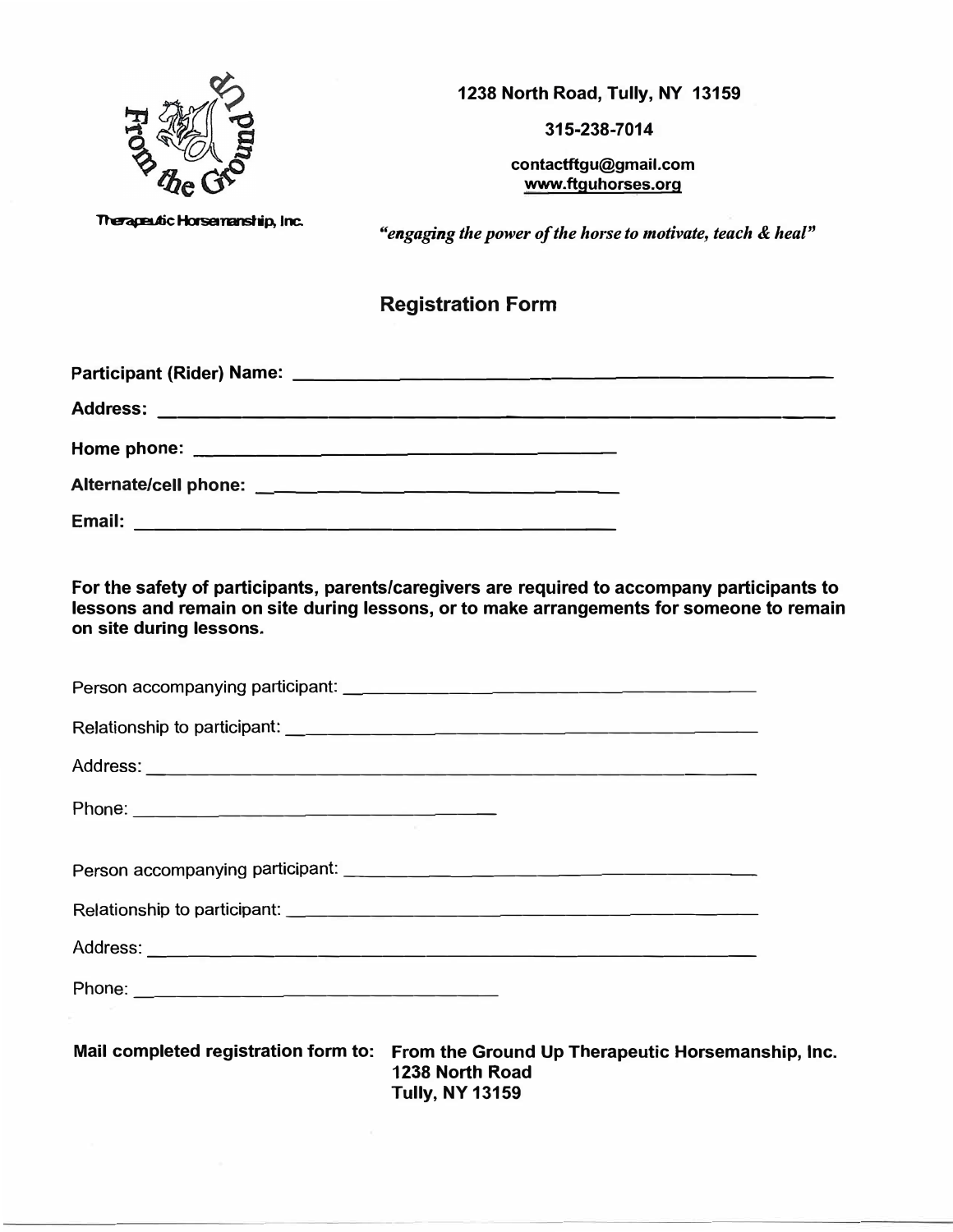

**315-238-7014**

**contactftgu@gmail.com www.ftguhorses.org**

**Therapeutic Horsemanship, Inc.** 

*"engaging the power of the horse to motivate, teach* & *heal"*

# **Registration Form**

| Email:<br><u> 1980 - Jan James John Harry John Harry John Harry John Harry John Harry John Harry John Harry John Harry John H</u> |  |
|-----------------------------------------------------------------------------------------------------------------------------------|--|

**For the safety of participants, parents/caregivers are required to accompany participants to lessons and remain on site during lessons, or to make arrangements for someone to remain on site during lessons.** 

| Mail completed registration form to: From the Ground Up Therapeutic Horsemanship, Inc.<br>1238 North Road |  |
|-----------------------------------------------------------------------------------------------------------|--|

**Tully, NY 13159**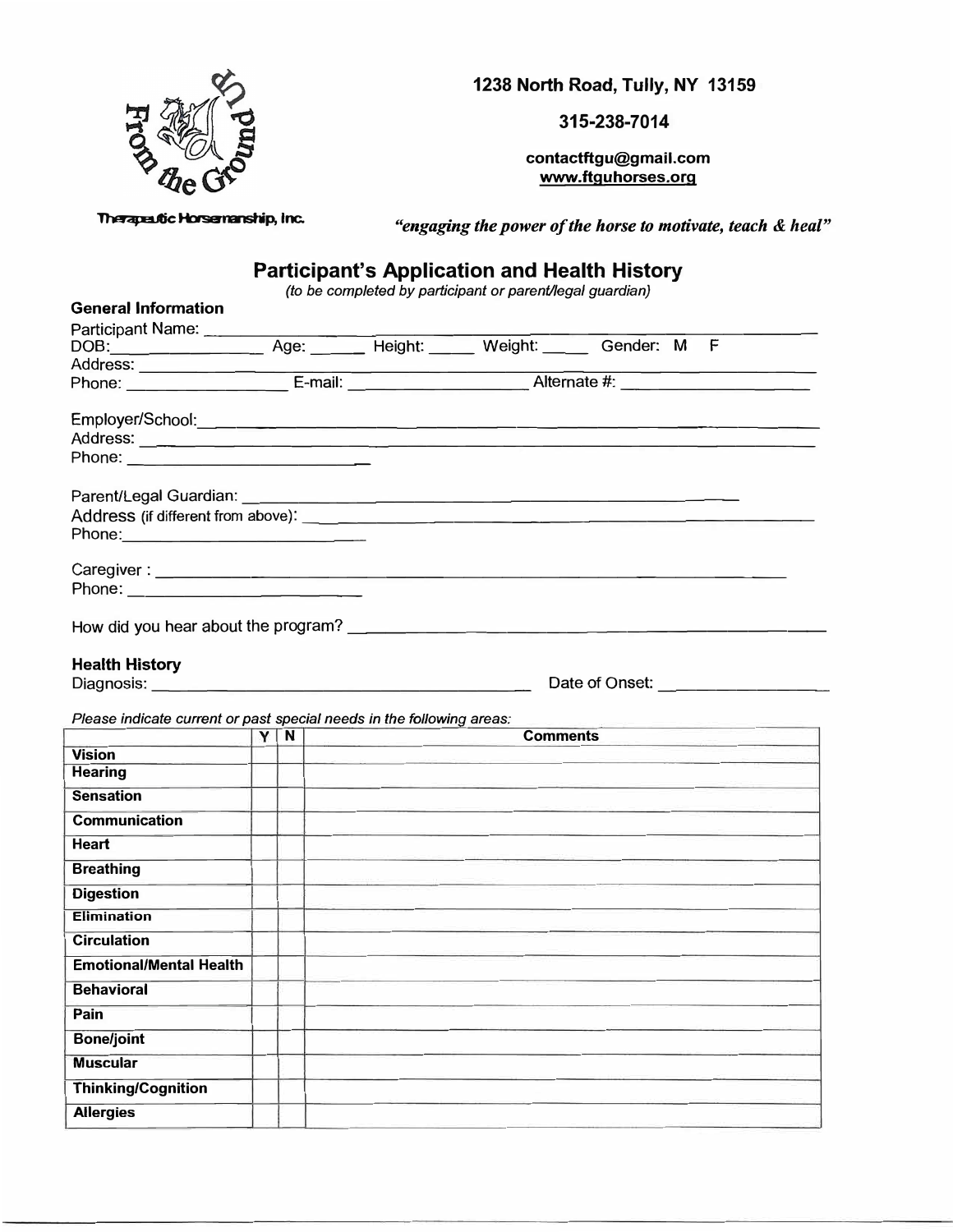

**315-238-7014**

**contactftgu@gmail.com www.ftguhorses.org**

**Therapeutic Horsemanship, Inc.** 

*"engaging the power of the horse to motivate, teach & heal"* 

## **Participant's Application and Health History**

*(to be completed by participant or parent/legal guardian)* 

| <b>General Information</b>                                                                                    |  |    |                 |                |
|---------------------------------------------------------------------------------------------------------------|--|----|-----------------|----------------|
| Participant Name: _______                                                                                     |  |    |                 |                |
| DOB: Age: Height: Weight: Gender: M F                                                                         |  |    |                 |                |
|                                                                                                               |  |    |                 |                |
|                                                                                                               |  |    |                 |                |
|                                                                                                               |  |    |                 |                |
|                                                                                                               |  |    |                 |                |
|                                                                                                               |  |    |                 |                |
|                                                                                                               |  |    |                 |                |
|                                                                                                               |  |    |                 |                |
|                                                                                                               |  |    |                 |                |
| Phone: 2008 2010 2010 2010 2010 2011 2021 2022 2023 2024 2022 2023 2024 2022 2023 2024 2022 2023 2024 2025 20 |  |    |                 |                |
|                                                                                                               |  |    |                 |                |
|                                                                                                               |  |    |                 |                |
| Phone: 2008 2009 2010 2021 2022 2023 2024 2022 2022 2023 2024 2022 2023 2024 2022 2023 2024 2022 2023 2024 20 |  |    |                 |                |
|                                                                                                               |  |    |                 |                |
|                                                                                                               |  |    |                 |                |
| <b>Health History</b>                                                                                         |  |    |                 |                |
| Diagnosis: Diagnosis:                                                                                         |  |    |                 | Date of Onset: |
|                                                                                                               |  |    |                 |                |
| Please indicate current or past special needs in the following areas:                                         |  |    |                 |                |
|                                                                                                               |  | YN | <b>Comments</b> |                |
| <b>Vision</b>                                                                                                 |  |    |                 |                |
| <b>Hearing</b>                                                                                                |  |    |                 |                |
| <b>Sensation</b>                                                                                              |  |    |                 |                |
| <b>Communication</b>                                                                                          |  |    |                 |                |
| Heart                                                                                                         |  |    |                 |                |
| <b>Breathing</b>                                                                                              |  |    |                 |                |
| <b>Digestion</b>                                                                                              |  |    |                 |                |
| <b>Elimination</b>                                                                                            |  |    |                 |                |
| <b>Circulation</b>                                                                                            |  |    |                 |                |
| <b>Emotional/Mental Health</b>                                                                                |  |    |                 |                |
| <b>Behavioral</b>                                                                                             |  |    |                 |                |
| Pain                                                                                                          |  |    |                 |                |
| <b>Bone/joint</b>                                                                                             |  |    |                 |                |
| <b>Muscular</b>                                                                                               |  |    |                 |                |
| <b>Thinking/Cognition</b>                                                                                     |  |    |                 |                |
| <b>Allergies</b>                                                                                              |  |    |                 |                |
|                                                                                                               |  |    |                 |                |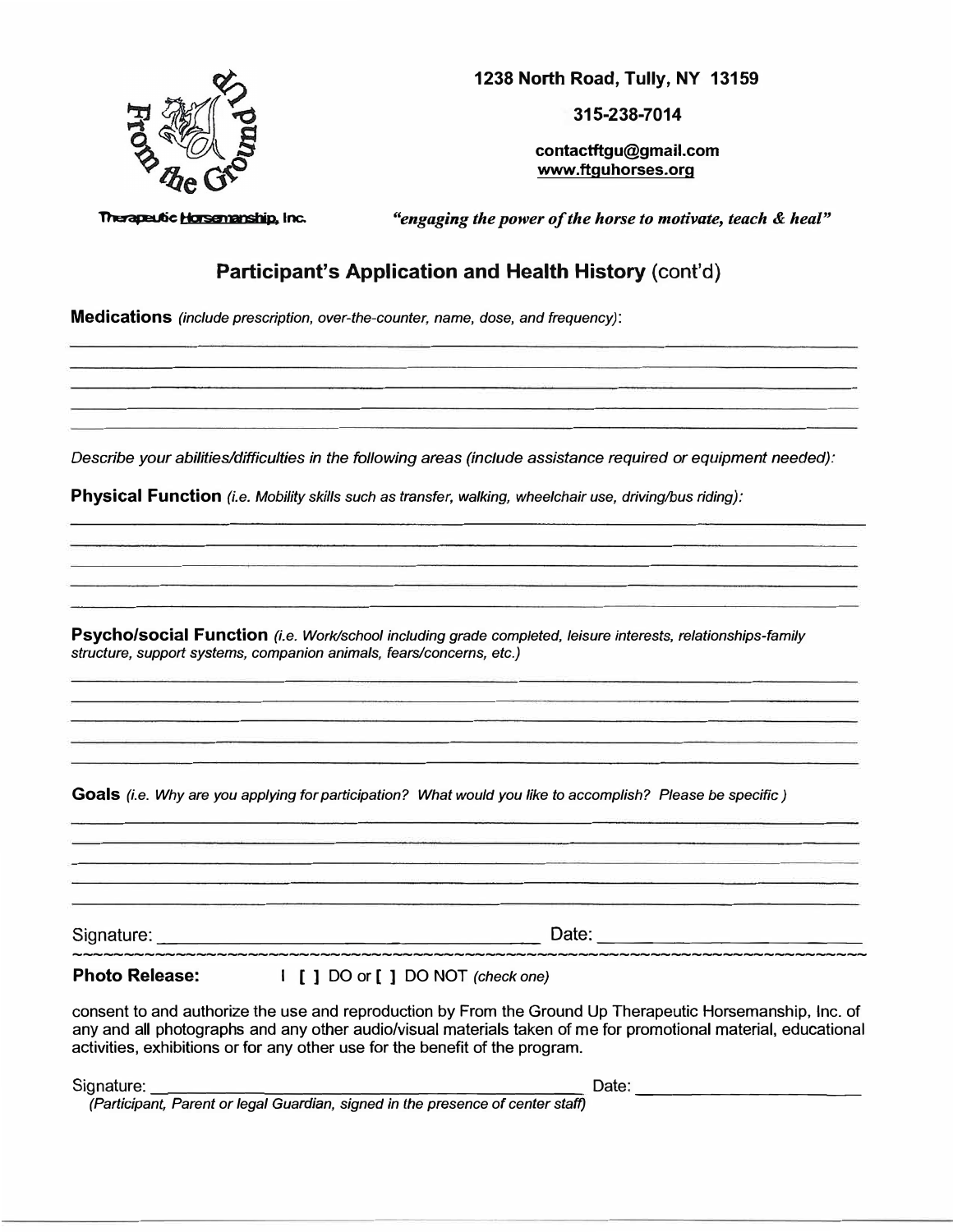

**315-238-7014**

**contactftgu@gmail.com www.ttguhorses.org** 

**Thereperic Horsenanship, inc.** *"engaging the power of the horse to motivate, teach & heal"* 

## **Participant's Application and Health History** (cont'd)

**Medications** *(include prescription, over-the-counter, name, dose, and frequency):* 

*Describe your abilities/difficulties in the following areas (include assistance required or equipment needed):* 

**Physical Function** *(i.e. Mobility skills such as transfer, walking, wheelchair use, driving/bus riding):* 

**Psycho/social Function** *(i.e. Work/school including grade completed, leisure interests, relationships-family structure, support* systems, *companion animals, fears/concerns, etc.)* 

**Goals** *(i.e. Why are you applying for participation? What would you like to accomplish? Please be specific)* 

Signature: \_\_\_\_\_\_\_\_\_\_\_\_\_\_\_\_\_ \_ Date: -------------- -----------------------------------------------------------------------------

**Photo Release:** I [ ] DO or [ ] DO NOT *(check one)*

consent to and authorize the use and reproduction by From the Ground Up Therapeutic Horsemanship, Inc. of any and all photographs and any other audio/visual materials taken of me for promotional material, educational activities, exhibitions or for any other use for the benefit of the program.

Signature: \_\_\_\_\_\_\_\_\_\_\_\_\_\_\_\_\_\_\_\_\_\_ Date: \_\_\_\_\_\_\_\_\_\_\_ \_

*(Participant, Parent or legal Guardian, signed in the presence of center staff)*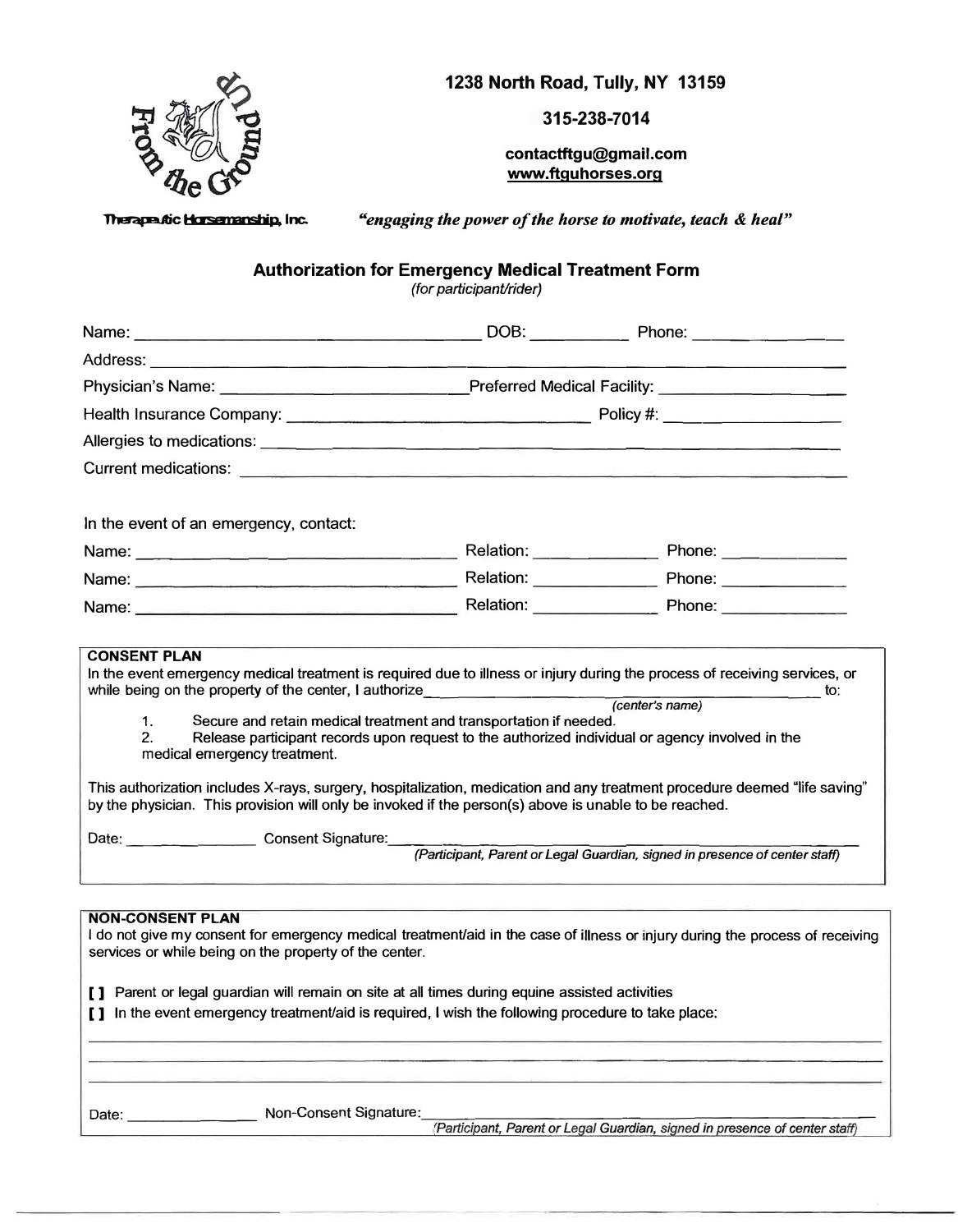

**315-238-7014**

**contactftgu@gmail.com www.ftguhorses.org** 

**1herape tic Horsenanship, Inc.** *"engaging the power of the horse to motivate, teach & heal"* 

**Authorization for Emergency Medical Treatment Form** 

*(for participant/rider)* 

| Physician's Name: _________________________Preferred Medical Facility: _____________________________                                                                                                                                                                                                                                                                                                                                                                                                                                                                                                                                                            |  |                                                                             |  |  |  |  |
|-----------------------------------------------------------------------------------------------------------------------------------------------------------------------------------------------------------------------------------------------------------------------------------------------------------------------------------------------------------------------------------------------------------------------------------------------------------------------------------------------------------------------------------------------------------------------------------------------------------------------------------------------------------------|--|-----------------------------------------------------------------------------|--|--|--|--|
|                                                                                                                                                                                                                                                                                                                                                                                                                                                                                                                                                                                                                                                                 |  |                                                                             |  |  |  |  |
|                                                                                                                                                                                                                                                                                                                                                                                                                                                                                                                                                                                                                                                                 |  |                                                                             |  |  |  |  |
|                                                                                                                                                                                                                                                                                                                                                                                                                                                                                                                                                                                                                                                                 |  |                                                                             |  |  |  |  |
| In the event of an emergency, contact:                                                                                                                                                                                                                                                                                                                                                                                                                                                                                                                                                                                                                          |  |                                                                             |  |  |  |  |
| Name: 2008. [2016] Relation: 2008. [2016] Phone: 2016. [2016] Phone: 2016. [2016] Phone: 2016. [2016] Phone: 2016. [2016] Phone: 2016. [2016] Phone: 2016. [2016] Phone: 2016. [2016] Phone: 2016. [2016] Phone: 2016. [2016]                                                                                                                                                                                                                                                                                                                                                                                                                                   |  |                                                                             |  |  |  |  |
|                                                                                                                                                                                                                                                                                                                                                                                                                                                                                                                                                                                                                                                                 |  |                                                                             |  |  |  |  |
|                                                                                                                                                                                                                                                                                                                                                                                                                                                                                                                                                                                                                                                                 |  |                                                                             |  |  |  |  |
| while being on the property of the center, I authorize (center's name) to:<br>Secure and retain medical treatment and transportation if needed.<br>1.<br>2.<br>Release participant records upon request to the authorized individual or agency involved in the<br>medical emergency treatment.<br>This authorization includes X-rays, surgery, hospitalization, medication and any treatment procedure deemed "life saving"<br>by the physician. This provision will only be invoked if the person(s) above is unable to be reached.<br>Date: Consent Signature: Consent Signature: (Participant, Parent or Legal Guardian, signed in presence of center staff) |  |                                                                             |  |  |  |  |
| <b>NON-CONSENT PLAN</b><br>I do not give my consent for emergency medical treatment/aid in the case of illness or injury during the process of receiving<br>services or while being on the property of the center.<br>[ ] Parent or legal guardian will remain on site at all times during equine assisted activities<br>[ ] In the event emergency treatment/aid is required, I wish the following procedure to take place:                                                                                                                                                                                                                                    |  |                                                                             |  |  |  |  |
| Non-Consent Signature:<br>Date:                                                                                                                                                                                                                                                                                                                                                                                                                                                                                                                                                                                                                                 |  | (Participant, Parent or Legal Guardian, signed in presence of center staff) |  |  |  |  |